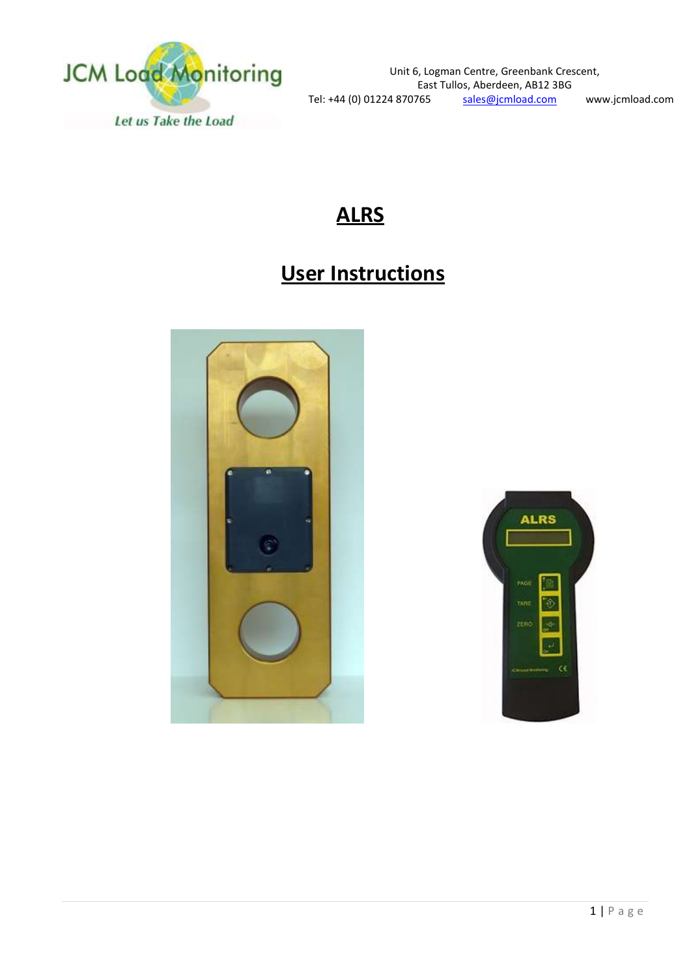

## **ALRS**

# **User Instructions**



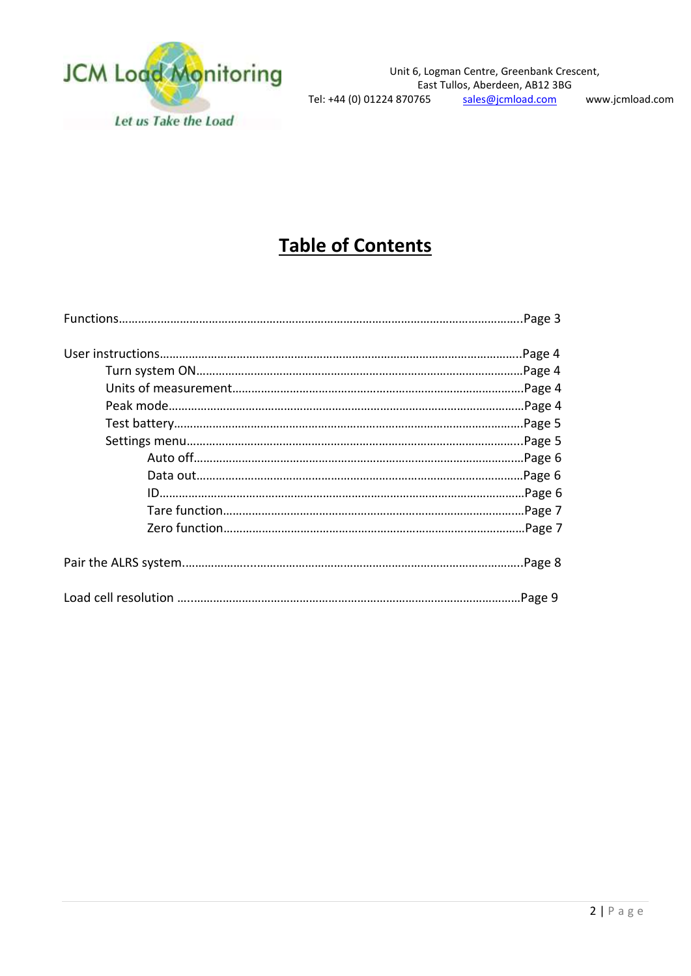

# **Table of Contents**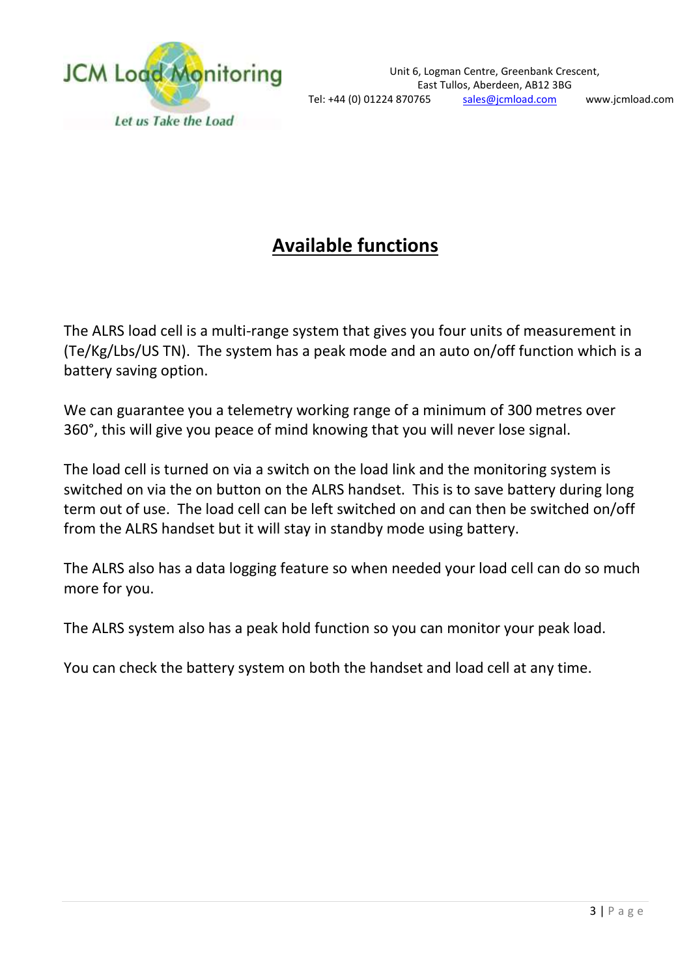

# **Available functions**

The ALRS load cell is a multi-range system that gives you four units of measurement in (Te/Kg/Lbs/US TN). The system has a peak mode and an auto on/off function which is a battery saving option.

We can guarantee you a telemetry working range of a minimum of 300 metres over 360°, this will give you peace of mind knowing that you will never lose signal.

The load cell is turned on via a switch on the load link and the monitoring system is switched on via the on button on the ALRS handset. This is to save battery during long term out of use. The load cell can be left switched on and can then be switched on/off from the ALRS handset but it will stay in standby mode using battery.

The ALRS also has a data logging feature so when needed your load cell can do so much more for you.

The ALRS system also has a peak hold function so you can monitor your peak load.

You can check the battery system on both the handset and load cell at any time.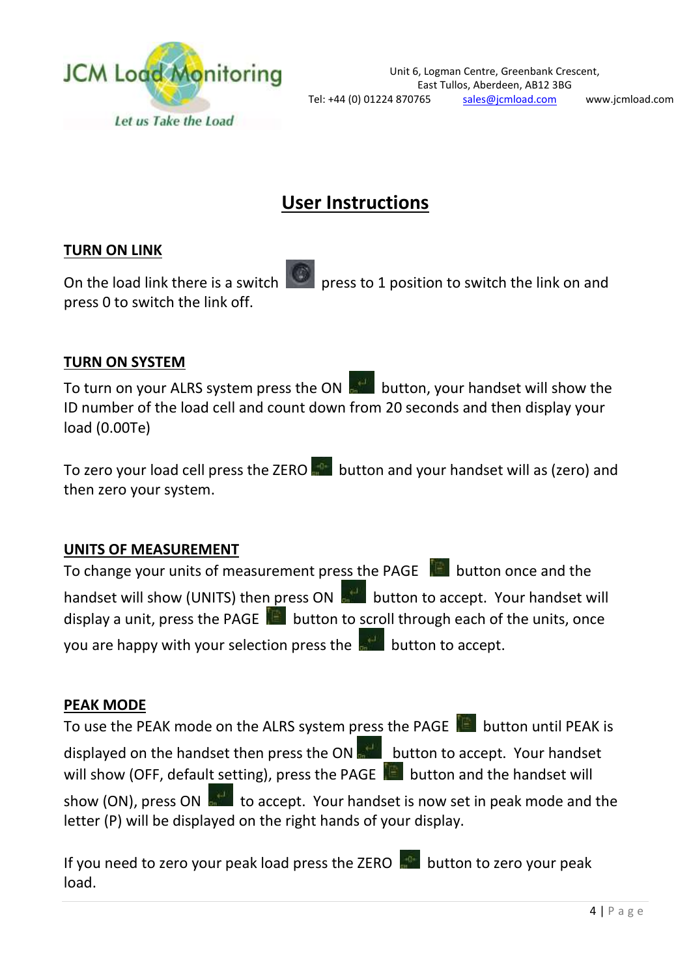

## **User Instructions**

#### **TURN ON LINK**

On the load link there is a switch press to 1 position to switch the link on and press 0 to switch the link off.

#### **TURN ON SYSTEM**

To turn on your ALRS system press the ON  $\frac{1}{\sqrt{2}}$  button, your handset will show the ID number of the load cell and count down from 20 seconds and then display your load (0.00Te)

To zero your load cell press the ZERO **Fight** button and your handset will as (zero) and then zero your system.

#### **UNITS OF MEASUREMENT**

To change your units of measurement press the PAGE **button** once and the handset will show (UNITS) then press ON **button to accept. Your handset will** display a unit, press the PAGE **button to scroll through each of the units**, once you are happy with your selection press the **button to accept**.

#### **PEAK MODE**

To use the PEAK mode on the ALRS system press the PAGE **button until PEAK is** displayed on the handset then press the ON **BUCK of the language of the handset** will show (OFF, default setting), press the PAGE  $\Box$  button and the handset will show (ON), press ON  $\frac{1}{\sqrt{2}}$  to accept. Your handset is now set in peak mode and the letter (P) will be displayed on the right hands of your display.

If you need to zero your peak load press the ZERO  $\frac{1}{2}$  button to zero your peak load.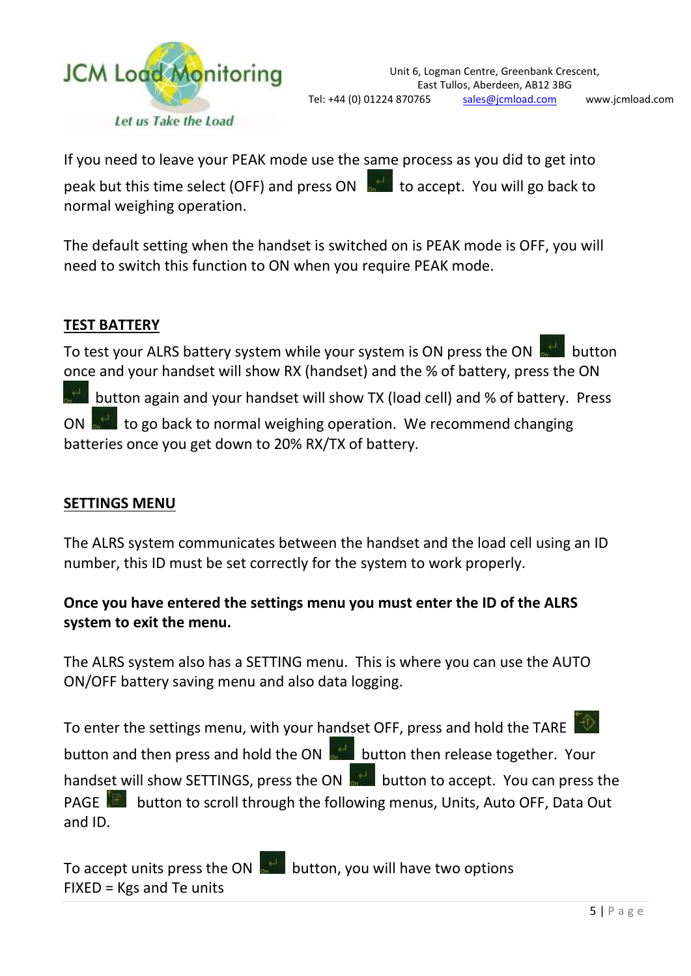

If you need to leave your PEAK mode use the same process as you did to get into peak but this time select (OFF) and press ON  $\frac{1}{\sqrt{2}}$  to accept. You will go back to normal weighing operation.

The default setting when the handset is switched on is PEAK mode is OFF, you will need to switch this function to ON when you require PEAK mode.

#### **TEST BATTERY**

To test your ALRS battery system while your system is ON press the ON **BULL** button once and your handset will show RX (handset) and the % of battery, press the ON

button again and your handset will show TX (load cell) and % of battery. Press

to go back to normal weighing operation. We recommend changing batteries once you get down to 20% RX/TX of battery.

#### **SETTINGS MENU**

The ALRS system communicates between the handset and the load cell using an ID number, this ID must be set correctly for the system to work properly.

### **Once you have entered the settings menu you must enter the ID of the ALRS system to exit the menu.**

The ALRS system also has a SETTING menu. This is where you can use the AUTO ON/OFF battery saving menu and also data logging.

To enter the settings menu, with your handset OFF, press and hold the TARE button and then press and hold the ON **button then release together.** Your handset will show SETTINGS, press the ON **button to accept.** You can press the PAGE **button to scroll through the following menus, Units, Auto OFF, Data Out** and ID.

To accept units press the ON  $\frac{1}{2}$  button, you will have two options FIXED = Kgs and Te units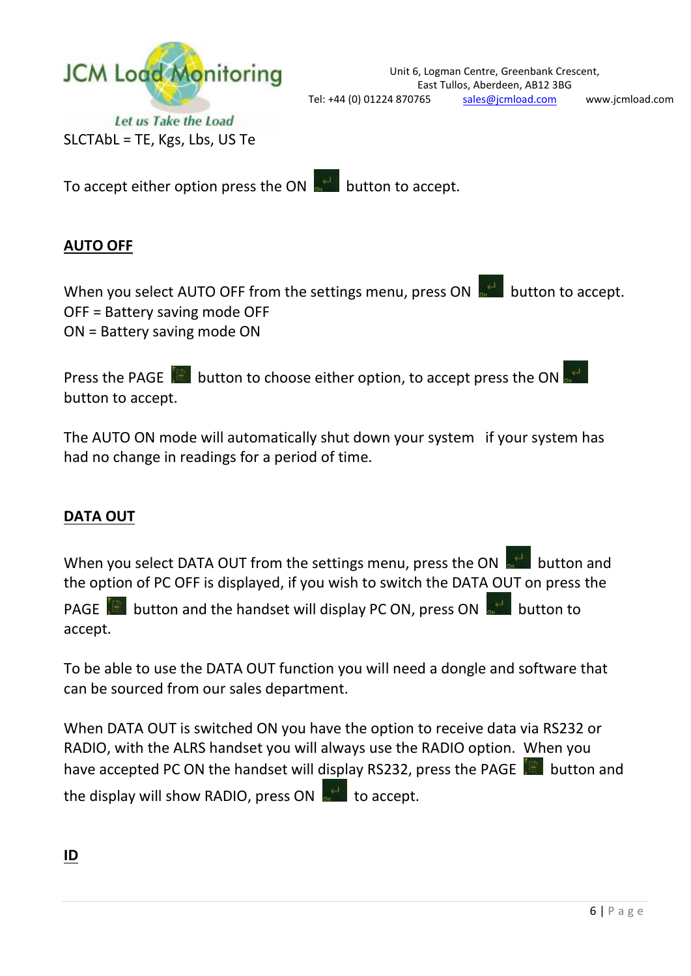

SLCTAbL = TE, Kgs, Lbs, US Te

To accept either option press the ON  $\frac{1}{100}$  button to accept.

### **AUTO OFF**

When you select AUTO OFF from the settings menu, press ON **button to accept**. OFF = Battery saving mode OFF ON = Battery saving mode ON

Press the PAGE **E** button to choose either option, to accept press the ON button to accept.

The AUTO ON mode will automatically shut down your system if your system has had no change in readings for a period of time.

### **DATA OUT**

When you select DATA OUT from the settings menu, press the ON  $\frac{1}{\sqrt{2}}$  button and the option of PC OFF is displayed, if you wish to switch the DATA OUT on press the

PAGE **in all button and the handset will display PC ON, press ON and button to** accept.

To be able to use the DATA OUT function you will need a dongle and software that can be sourced from our sales department.

When DATA OUT is switched ON you have the option to receive data via RS232 or RADIO, with the ALRS handset you will always use the RADIO option. When you have accepted PC ON the handset will display RS232, press the PAGE **button** and the display will show RADIO, press ON  $\mathbb{R}^n$  to accept.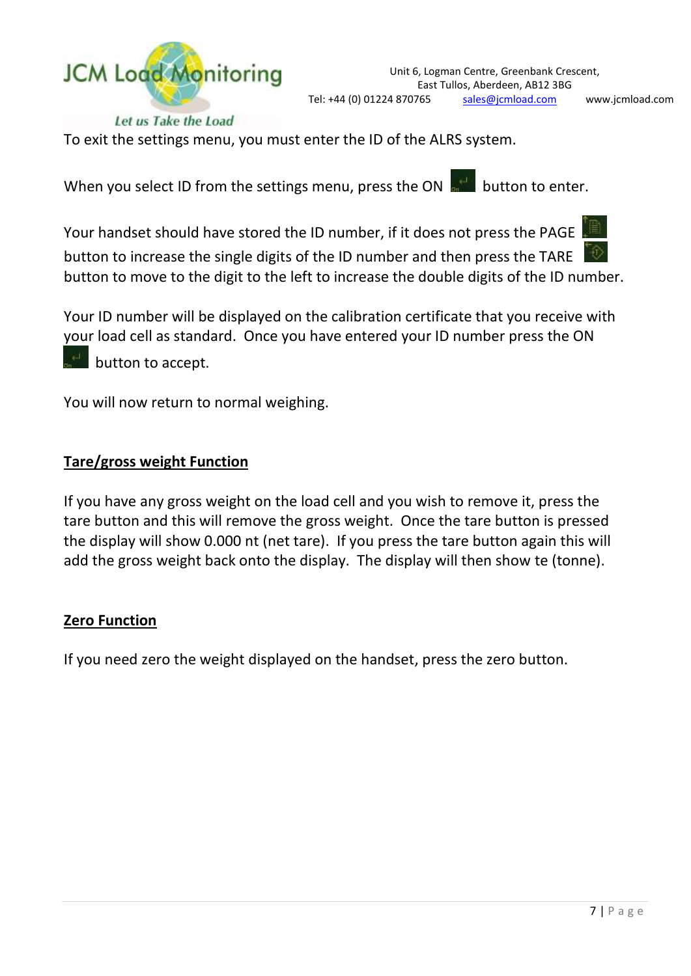

Let us Take the Load

To exit the settings menu, you must enter the ID of the ALRS system.

When you select ID from the settings menu, press the ON  $\frac{1}{\sqrt{2}}$  button to enter.

Your handset should have stored the ID number, if it does not press the PAGE



button to increase the single digits of the ID number and then press the TARE button to move to the digit to the left to increase the double digits of the ID number.

Your ID number will be displayed on the calibration certificate that you receive with your load cell as standard. Once you have entered your ID number press the ON

button to accept.

You will now return to normal weighing.

#### **Tare/gross weight Function**

If you have any gross weight on the load cell and you wish to remove it, press the tare button and this will remove the gross weight. Once the tare button is pressed the display will show 0.000 nt (net tare). If you press the tare button again this will add the gross weight back onto the display. The display will then show te (tonne).

#### **Zero Function**

If you need zero the weight displayed on the handset, press the zero button.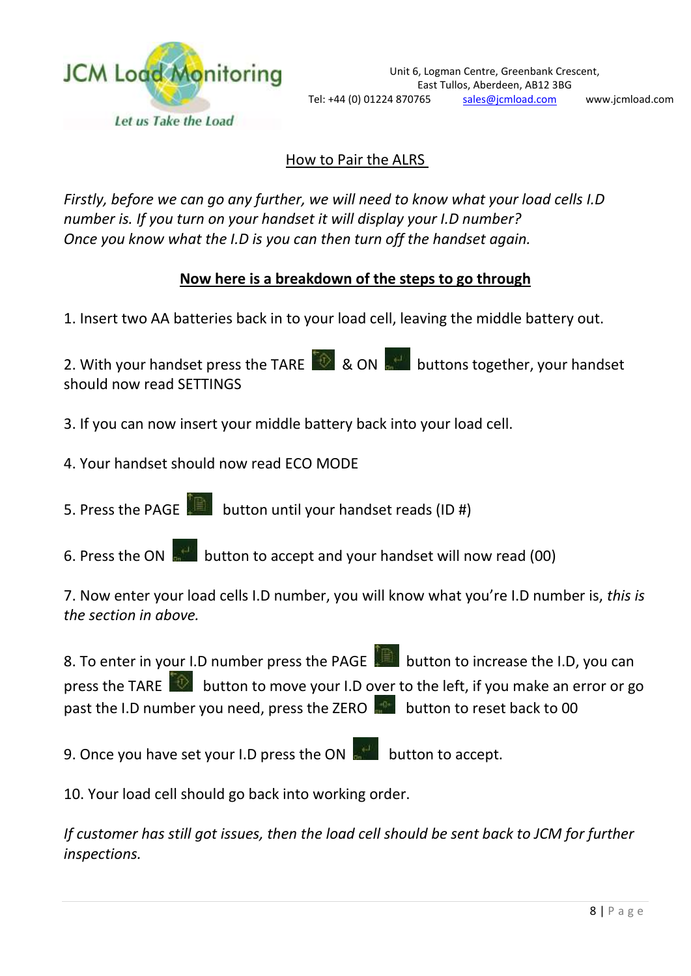

### How to Pair the ALRS

*Firstly, before we can go any further, we will need to know what your load cells I.D number is. If you turn on your handset it will display your I.D number? Once you know what the I.D is you can then turn off the handset again.*

#### **Now here is a breakdown of the steps to go through**

1. Insert two AA batteries back in to your load cell, leaving the middle battery out.

2. With your handset press the TARE  $\left[\begin{array}{cc} \circ \\ \circ \end{array}\right]$  & ON buttons together, your handset should now read SETTINGS

- 3. If you can now insert your middle battery back into your load cell.
- 4. Your handset should now read ECO MODE
- 5. Press the PAGE **button until your handset reads (ID #)**
- 6. Press the ON  $\frac{1}{60}$  button to accept and your handset will now read (00)

7. Now enter your load cells I.D number, you will know what you're I.D number is, *this is the section in above.*

8. To enter in your I.D number press the PAGE **button to increase the I.D, you can** press the TARE  $\Box$  button to move your I.D over to the left, if you make an error or go past the I.D number you need, press the ZERO  $\frac{1}{2}$  button to reset back to 00

9. Once you have set your I.D press the ON  $\frac{1}{2}$  button to accept.

10. Your load cell should go back into working order.

*If customer has still got issues, then the load cell should be sent back to JCM for further inspections.*